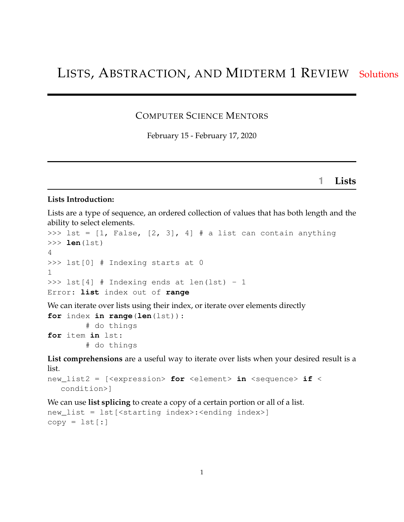#### COMPUTER SCIENCE MENTORS

February 15 - February 17, 2020

**1 Lists**

#### **Lists Introduction:**

Lists are a type of sequence, an ordered collection of values that has both length and the ability to select elements.

```
>>> lst = [1, False, [2, 3], 4] # a list can contain anything
>>> len(lst)
4
>>> lst[0] # Indexing starts at 0
1
\gg lst[4] # Indexing ends at len(lst) - 1
Error: list index out of range
We can iterate over lists using their index, or iterate over elements directly
for index in range(len(lst)):
         # do things
for item in lst:
         # do things
List comprehensions are a useful way to iterate over lists when your desired result is a
```
list.

```
new_list2 = [<expression> for <element> in <sequence> if <
  condition>]
```
We can use **list splicing** to create a copy of a certain portion or all of a list.

```
new_list = lst[<starting index>:<ending index>]
copy = lst[:]
```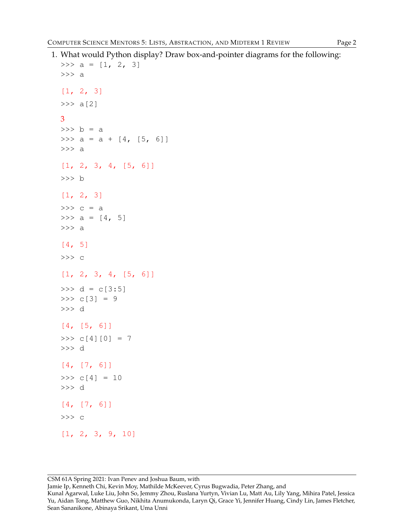1. What would Python display? Draw box-and-pointer diagrams for the following:

```
>>> a = [1, 2, 3]>>> a
[1, 2, 3]>> a[2]
3
>> b = a
>>> a = a + [4, [5, 6]]>>> a
[1, 2, 3, 4, [5, 6]]>>> b
[1, 2, 3]
\Rightarrow > c = a
>>> a = [4, 5]>>> a
[4, 5]
>>> c
[1, 2, 3, 4, [5, 6]]>> d = c[3:5]
>>> c[3] = 9
>>> d
[4, [5, 6]]
>>c[4][0] = 7>>> d
[4, [7, 6]]
>> c[4] = 10
>>> d
[4, [7, 6]]>>> c
[1, 2, 3, 9, 10]
```
CSM 61A Spring 2021: Ivan Penev and Joshua Baum, with

Jamie Ip, Kenneth Chi, Kevin Moy, Mathilde McKeever, Cyrus Bugwadia, Peter Zhang, and

Kunal Agarwal, Luke Liu, John So, Jemmy Zhou, Ruslana Yurtyn, Vivian Lu, Matt Au, Lily Yang, Mihira Patel, Jessica Yu, Aidan Tong, Matthew Guo, Nikhita Anumukonda, Laryn Qi, Grace Yi, Jennifer Huang, Cindy Lin, James Fletcher, Sean Sananikone, Abinaya Srikant, Uma Unni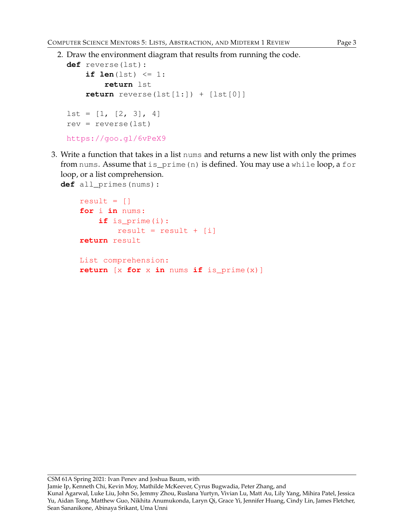2. Draw the environment diagram that results from running the code.

```
def reverse(lst):
    if len(lst) \leq 1:
        return lst
    return reverse(lst[1:]) + [lst[0]]
lst = [1, [2, 3], 4]rev = reverse(lst)https://goo.gl/6vPeX9
```
3. Write a function that takes in a list nums and returns a new list with only the primes from nums. Assume that is\_prime(n) is defined. You may use a while loop, a for loop, or a list comprehension.

```
def all_primes(nums):
```

```
result = []for i in nums:
    if is_prime(i):
        result = result + [i]return result
List comprehension:
return [x for x in nums if is_prime(x)]
```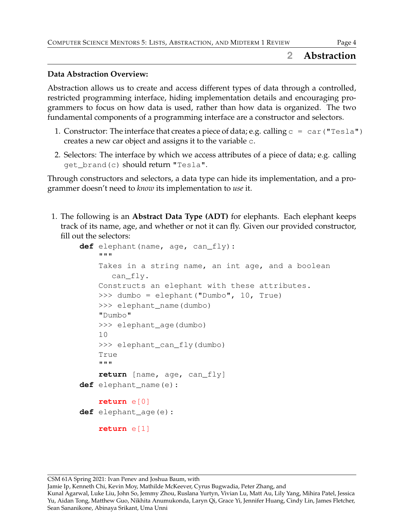### **2 Abstraction**

#### **Data Abstraction Overview:**

Abstraction allows us to create and access different types of data through a controlled, restricted programming interface, hiding implementation details and encouraging programmers to focus on how data is used, rather than how data is organized. The two fundamental components of a programming interface are a constructor and selectors.

- 1. Constructor: The interface that creates a piece of data; e.g. calling  $c = car$  ("Tesla") creates a new car object and assigns it to the variable c.
- 2. Selectors: The interface by which we access attributes of a piece of data; e.g. calling get\_brand(c) should return "Tesla".

Through constructors and selectors, a data type can hide its implementation, and a programmer doesn't need to *know* its implementation to *use* it.

1. The following is an **Abstract Data Type (ADT)** for elephants. Each elephant keeps track of its name, age, and whether or not it can fly. Given our provided constructor, fill out the selectors:

```
def elephant(name, age, can_fly):
    """
    Takes in a string name, an int age, and a boolean
       can_fly.
    Constructs an elephant with these attributes.
    >>> dumbo = elephant("Dumbo", 10, True)
    >>> elephant name(dumbo)
    "Dumbo"
    >>> elephant_age(dumbo)
    10
    >>> elephant_can_fly(dumbo)
    True
    """
    return [name, age, can_fly]
def elephant_name(e):
    return e[0]
def elephant_age(e):
    return e[1]
```
Jamie Ip, Kenneth Chi, Kevin Moy, Mathilde McKeever, Cyrus Bugwadia, Peter Zhang, and

Kunal Agarwal, Luke Liu, John So, Jemmy Zhou, Ruslana Yurtyn, Vivian Lu, Matt Au, Lily Yang, Mihira Patel, Jessica Yu, Aidan Tong, Matthew Guo, Nikhita Anumukonda, Laryn Qi, Grace Yi, Jennifer Huang, Cindy Lin, James Fletcher, Sean Sananikone, Abinaya Srikant, Uma Unni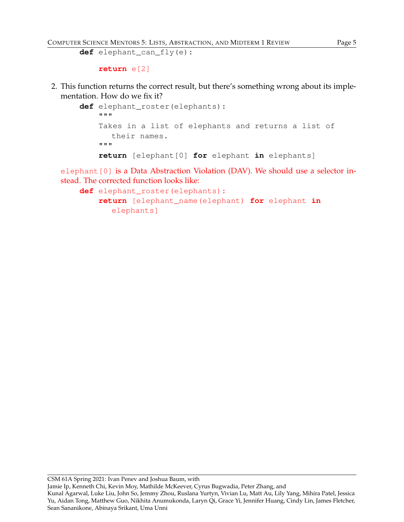```
def elephant_can_fly(e):
```

```
return e[2]
```
2. This function returns the correct result, but there's something wrong about its implementation. How do we fix it?

```
def elephant_roster(elephants):
    """
    Takes in a list of elephants and returns a list of
       their names.
    """
    return [elephant[0] for elephant in elephants]
```
elephant [0] is a Data Abstraction Violation (DAV). We should use a selector instead. The corrected function looks like:

```
def elephant roster(elephants):
    return [elephant_name(elephant) for elephant in
      elephants]
```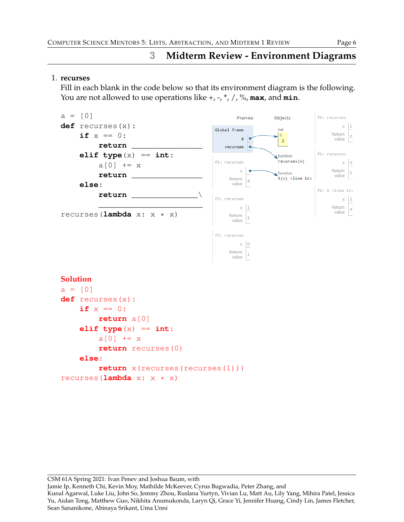# **3 Midterm Review - Environment Diagrams**

#### 1. **recurses**

Fill in each blank in the code below so that its environment diagram is the following. You are not allowed to use operations like +, -, \*, /, %, **max**, and **min**.



CSM 61A Spring 2021: Ivan Penev and Joshua Baum, with

Jamie Ip, Kenneth Chi, Kevin Moy, Mathilde McKeever, Cyrus Bugwadia, Peter Zhang, and

Kunal Agarwal, Luke Liu, John So, Jemmy Zhou, Ruslana Yurtyn, Vivian Lu, Matt Au, Lily Yang, Mihira Patel, Jessica Yu, Aidan Tong, Matthew Guo, Nikhita Anumukonda, Laryn Qi, Grace Yi, Jennifer Huang, Cindy Lin, James Fletcher, Sean Sananikone, Abinaya Srikant, Uma Unni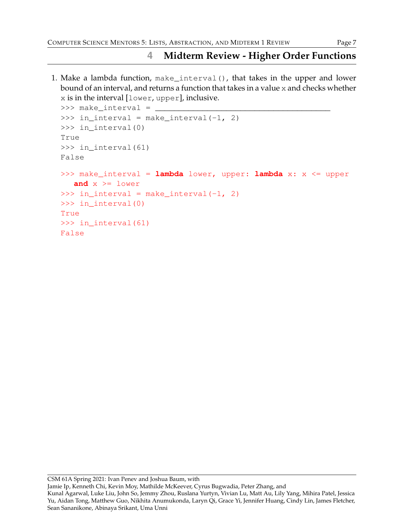## **4 Midterm Review - Higher Order Functions**

1. Make a lambda function, make\_interval(), that takes in the upper and lower bound of an interval, and returns a function that takes in a value x and checks whether x is in the interval [lower, upper], inclusive.

```
\gg>> make_interval = \Box\gg in_interval = make_interval(-1, 2)
>>> in interval(0)
True
>>> in_interval(61)
False
>>> make_interval = lambda lower, upper: lambda x: x <= upper
  and x \geq 1ower
\gg in_interval = make_interval(-1, 2)
>>> in_interval(0)
True
>>> in_interval(61)
False
```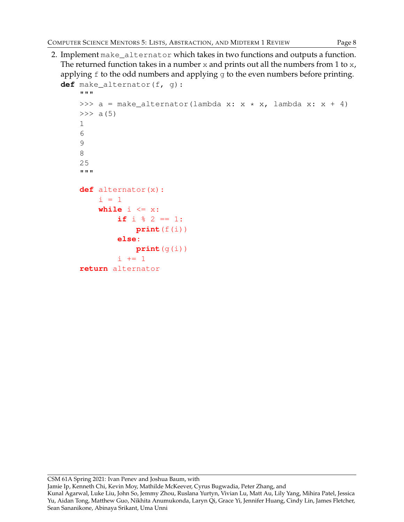2. Implement make\_alternator which takes in two functions and outputs a function. The returned function takes in a number  $x$  and prints out all the numbers from 1 to  $x$ , applying  $f$  to the odd numbers and applying  $g$  to the even numbers before printing. **def** make\_alternator(f, g):

```
"""
>>> a = make_alternator(lambda x: x \times x, lambda x: x + 4)
>> a(5)
1
6
9
8
25
"""
def alternator(x):
    i = 1while i \leq x:
         if i \, 8 \, 2 == 1:
             print(f(i))else:
             print(g(i))
         i + = 1return alternator
```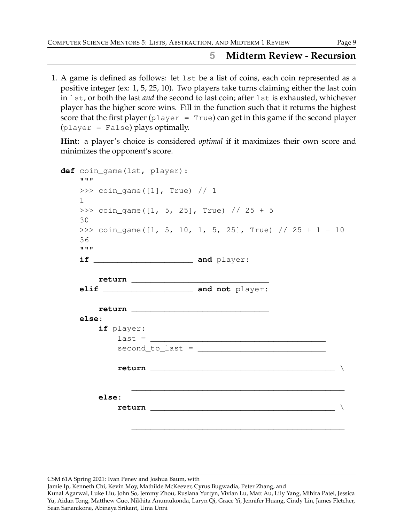### **5 Midterm Review - Recursion**

1. A game is defined as follows: let lst be a list of coins, each coin represented as a positive integer (ex: 1, 5, 25, 10). Two players take turns claiming either the last coin in lst, or both the last *and* the second to last coin; after lst is exhausted, whichever player has the higher score wins. Fill in the function such that it returns the highest score that the first player  $(p \text{layer} = \text{True})$  can get in this game if the second player (player = False) plays optimally.

**Hint:** a player's choice is considered *optimal* if it maximizes their own score and minimizes the opponent's score.

| def coin_game(lst, player):<br><b>H H H</b>                                                                                                                                                                                             |  |
|-----------------------------------------------------------------------------------------------------------------------------------------------------------------------------------------------------------------------------------------|--|
| >>> $\cosh_q$ coin_game ([1], True) // 1<br>$\mathbf{1}$                                                                                                                                                                                |  |
| >>> coin_game( $[1, 5, 25]$ , True) // 25 + 5<br>30                                                                                                                                                                                     |  |
| >>> coin_game( $[1, 5, 10, 1, 5, 25]$ , True) // 25 + 1 + 10<br>36<br><b>H H H</b>                                                                                                                                                      |  |
|                                                                                                                                                                                                                                         |  |
| else:                                                                                                                                                                                                                                   |  |
| if player:<br>$last = \_$<br>$second_to_last =$                                                                                                                                                                                         |  |
|                                                                                                                                                                                                                                         |  |
| else:<br>return and the second second second second second second second second second second second second second second second second second second second second second second second second second second second second second seco |  |
|                                                                                                                                                                                                                                         |  |

CSM 61A Spring 2021: Ivan Penev and Joshua Baum, with

Jamie Ip, Kenneth Chi, Kevin Moy, Mathilde McKeever, Cyrus Bugwadia, Peter Zhang, and

Kunal Agarwal, Luke Liu, John So, Jemmy Zhou, Ruslana Yurtyn, Vivian Lu, Matt Au, Lily Yang, Mihira Patel, Jessica Yu, Aidan Tong, Matthew Guo, Nikhita Anumukonda, Laryn Qi, Grace Yi, Jennifer Huang, Cindy Lin, James Fletcher, Sean Sananikone, Abinaya Srikant, Uma Unni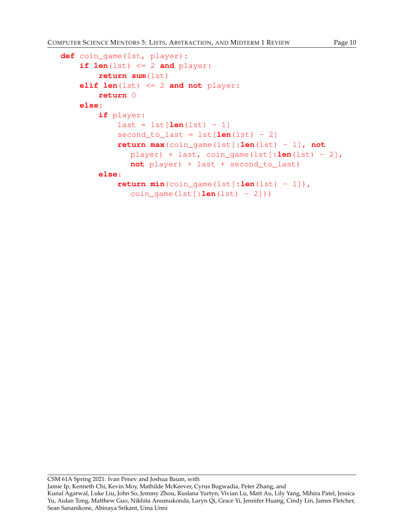```
def coin_game(lst, player):
    if len(lst) \leq 2 and player:
        return sum(lst)
    elif len(lst) <= 2 and not player:
        return 0
    else:
        if player:
            last = 1st[len(lst) - 1]second to last = lst[len(lst) - 2]return max(coin_game(lst[:len(lst) - 1], not
               player) + last, coin_game(lst[:len(lst) - 2],
               not player) + last + second_to_last)
        else:
            return min(coin_game(lst[:len(lst) - 1]),
               coin_game(lst[:\text{len}(lst) - 2]))
```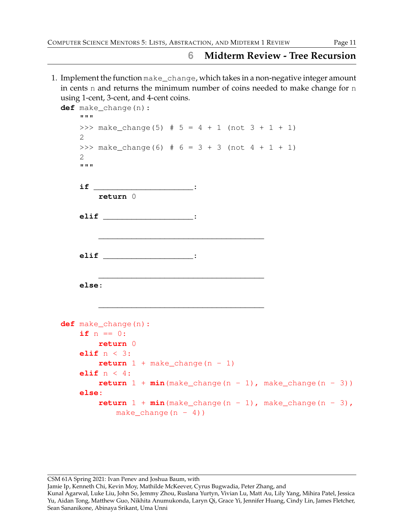### **6 Midterm Review - Tree Recursion**

1. Implement the function make\_change, which takes in a non-negative integer amount in cents n and returns the minimum number of coins needed to make change for n using 1-cent, 3-cent, and 4-cent coins.

```
def make_change(n):
    "" ""
    >>> make change(5) # 5 = 4 + 1 (not 3 + 1 + 1)
    2
    >>> make_change(6) # 6 = 3 + 3 (not 4 + 1 + 1)
    2
    """
    if _____________________:
        return 0
    elif ___________________:
        ___________________________________
    elif ___________________:
        ___________________________________
    else:
        ___________________________________
def make_change(n):
    if n == 0:
        return 0
    elif n < 3:
        return 1 + \text{make } \text{change}(n - 1)elif n < 4:
        return 1 + min(make_change(n - 1), make_change(n - 3))else:
        return 1 + min(make_change(n - 1), make_change(n - 3),make change(n - 4))
```
CSM 61A Spring 2021: Ivan Penev and Joshua Baum, with

Jamie Ip, Kenneth Chi, Kevin Moy, Mathilde McKeever, Cyrus Bugwadia, Peter Zhang, and

Kunal Agarwal, Luke Liu, John So, Jemmy Zhou, Ruslana Yurtyn, Vivian Lu, Matt Au, Lily Yang, Mihira Patel, Jessica Yu, Aidan Tong, Matthew Guo, Nikhita Anumukonda, Laryn Qi, Grace Yi, Jennifer Huang, Cindy Lin, James Fletcher, Sean Sananikone, Abinaya Srikant, Uma Unni